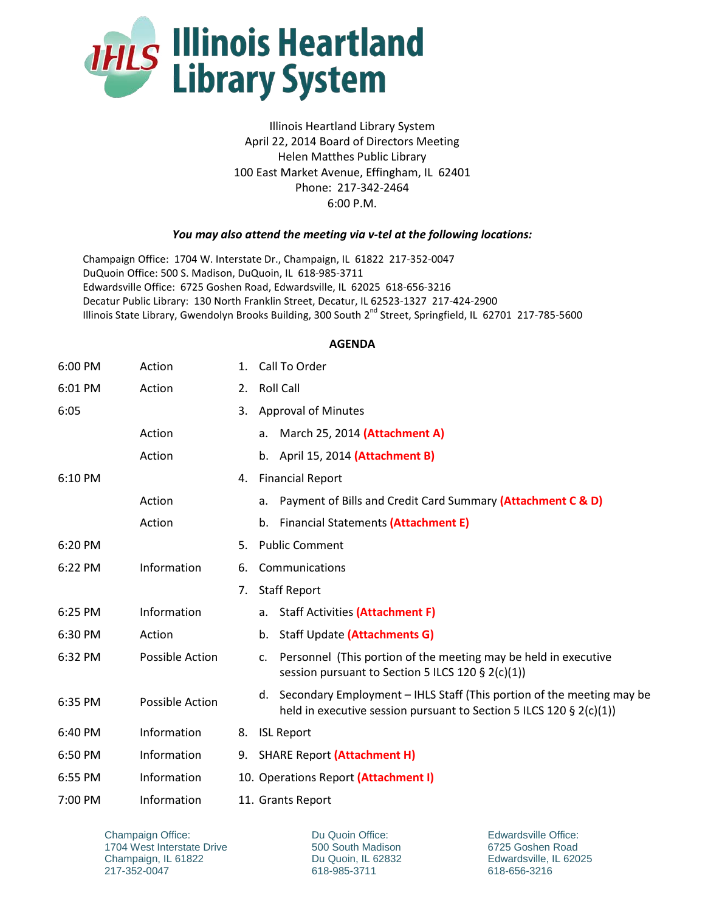

Illinois Heartland Library System April 22, 2014 Board of Directors Meeting Helen Matthes Public Library 100 East Market Avenue, Effingham, IL 62401 Phone: 217-342-2464 6:00 P.M.

## *You may also attend the meeting via v-tel at the following locations:*

Champaign Office: 1704 W. Interstate Dr., Champaign, IL 61822 217-352-0047 DuQuoin Office: 500 S. Madison, DuQuoin, IL 618-985-3711 Edwardsville Office: 6725 Goshen Road, Edwardsville, IL 62025 618-656-3216 Decatur Public Library: 130 North Franklin Street, Decatur, IL 62523-1327 217-424-2900 Illinois State Library, Gwendolyn Brooks Building, 300 South 2<sup>nd</sup> Street, Springfield, IL 62701 217-785-5600

## **AGENDA**

| 6:00 PM   | Action          | 1. | Call To Order                                                                                                                                   |
|-----------|-----------------|----|-------------------------------------------------------------------------------------------------------------------------------------------------|
| 6:01 PM   | Action          |    | 2. Roll Call                                                                                                                                    |
| 6:05      |                 | 3. | <b>Approval of Minutes</b>                                                                                                                      |
|           | Action          |    | a. March 25, 2014 (Attachment A)                                                                                                                |
|           | Action          |    | b. April 15, 2014 (Attachment B)                                                                                                                |
| 6:10 PM   |                 | 4. | <b>Financial Report</b>                                                                                                                         |
|           | Action          |    | Payment of Bills and Credit Card Summary (Attachment C & D)<br>a.                                                                               |
|           | Action          |    | <b>Financial Statements (Attachment E)</b><br>b.                                                                                                |
| 6:20 PM   |                 | 5. | <b>Public Comment</b>                                                                                                                           |
| 6:22 PM   | Information     | 6. | Communications                                                                                                                                  |
|           |                 | 7. | <b>Staff Report</b>                                                                                                                             |
| $6:25$ PM | Information     |    | a. Staff Activities (Attachment F)                                                                                                              |
| 6:30 PM   | Action          |    | Staff Update (Attachments G)<br>b.                                                                                                              |
| 6:32 PM   | Possible Action |    | Personnel (This portion of the meeting may be held in executive<br>$\mathsf{C}$ .<br>session pursuant to Section 5 ILCS 120 § 2(c)(1))          |
| 6:35 PM   | Possible Action |    | d. Secondary Employment - IHLS Staff (This portion of the meeting may be<br>held in executive session pursuant to Section 5 ILCS 120 § 2(c)(1)) |
| 6:40 PM   | Information     | 8. | <b>ISL Report</b>                                                                                                                               |
| 6:50 PM   | Information     |    | 9. SHARE Report (Attachment H)                                                                                                                  |
| 6:55 PM   | Information     |    | 10. Operations Report (Attachment I)                                                                                                            |
| 7:00 PM   | Information     |    | 11. Grants Report                                                                                                                               |

Champaign Office: 1704 West Interstate Drive Champaign, IL 61822 217-352-0047

Du Quoin Office: 500 South Madison Du Quoin, IL 62832 618-985-3711

Edwardsville Office: 6725 Goshen Road Edwardsville, IL 62025 618-656-3216